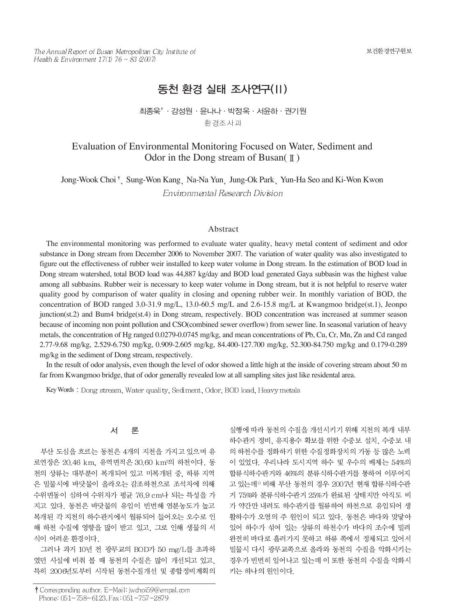The Annual Report of Busan Metropolitan City Institute of Health & Environment  $17(1)$  76 ~ 83 (2007)

# 동천 환경 실태 조사연구(II)

## 최종욱'·강성원 · 윤나나 · 박정옥 · 서윤하 · 권기원 환경조사과

# Evaluation of Environmental Monitoring Focused on Water, Sediment and Odor in the Dong stream of Busan( $\parallel$ )

Jong-Wook Choi<sup>†</sup>, Sung-Won Kang Na-Na Yun Jung-Ok Park Yun-Ha Seo and Ki-Won Kwon Environmental Research Division

#### Abstract

The environmental monitoring was performed to evaluate water quality, heavy metal content of sediment and odor substance in Dong stream from December 2006 to November 2007. The variation of water quality was also investigated to figure out the effectiveness of rubber weir installed to keep water volume in Dong stream. In the estimation of BOD load in Dong stream watershed, total BOD load was 44,887 kg/day and BOD load generated Gaya subbasin was the highest value among all subbasins. Rubber weir is necessary to keep water volume in Dong stream, but it is not helpful to reserve water quality good by comparison of water quality in closing and opening rubber weir. In monthly variation of BOD, the concentration of BOD ranged 3.0-31.9 mg/L, 13.0-60.5 mg/L and 2.6-15.8 mg/L at Kwangmoo bridge(st.1), Jeonpo junction(st.2) and Bum4 bridge(st.4) in Dong stream, respectively. BOD concentration was increased at summer season because of incoming non point pollution and CSO(combined sewer overflow) from sewer line. In seasonal variation of heavy metals, the concentration of Hg ranged 0.0279-0.0745 mg/kg, and mean concentrations of Pb, Cu, Cr, Mn, Zn and Cd ranged 2.77-9.68 mg/kg, 2.529-6.750 mg/kg, 0.909-2.605 mg/kg, 84.400-127.700 mg/kg, 52.300-84.750 mg/kg and 0.179-0.289 mg/kg in the sediment of Dong stream, respectively.

In the result of odor analysis, even though the level of odor showed a little high at the inside of covering stream about 50 m far from Kwangmoo bridge, that of odor generally revealed low at all sampling sites just like residental area.

Key Words: Dong stream, Water quality, Sediment, Odor, BOD load, Heavy metals

#### 서 론

부산 도심을 흐르는 동천은 4개의 지천을 가지고 있으며 유 로연장은 20.46 km, 유역면적은 30.60 km<sup>2</sup>의 하천이다. 동 천의 상류는 대부분이 복개되어 있고 미복개된 중, 하류 지역 은 밀물시에 바닷물이 올라오는 감조하천으로 조석차에 의해 수위변동이 심하여 수위차가 평균 76.9 cm나 되는 특성을 가 지고 있다. 동천은 바닷물의 유입이 빈번해 염분농도가 높고 복개된 각 지천의 하수관거에서 월류되어 들어오는 오수로 인 해 하천 수질에 영향을 많이 받고 있고, 그로 인해 생물의 서 식이 어려운 환경이다.

그러나 과거 10년 전 광무교의 BOD가 50 mg/L를 초과하 였던 사실에 비춰 볼 때 동천의 수질은 많이 개선되고 있고, 특히 2006년도부터 시작된 동천수질개선 및 종합정비계획의

실행에 따라 동천의 수질을 개선시키기 위해 지천의 복개 내부 하수관거 정비, 유지용수 확보를 위한 수중보 설치, 수중보 내 의 하천수를 정화하기 위한 수질정화장치의 가동 등 많은 노력 이 있었다. 우리나라 도시지역 하수 및 우수의 배제는 54%의 합류식하수관거와 46%의 분류식하수관거를 통하여 이루어지 고 있는데<sup>1)</sup> 비해 부산 동천의 경우 2007년 현재 합류식하수관 거 75%와 분류식하수관거 25%가 완료된 상태지만 아직도 비 가 약간만 내려도 하수관거를 월류하여 하천으로 유입되어 생 활하수가 오염의 주 원인이 되고 있다. 동천은 바다와 맞닿아 있어 하수가 섞여 있는 상류의 하천수가 바다의 조수에 밀려 완전히 바다로 흘러가지 못하고 하류 쪽에서 정체되고 있어서 밀물시 다시 광무교쪽으로 올라와 동천의 수질을 악화시키는 경우가 빈번히 일어나고 있는데 이 또한 동천의 수질을 악화시 키는 하나의 원인이다.

<sup>†</sup> Corresponding author. E-Mail: jwchoi59@empal.com Phone: 051-758-6123, Fax: 051-757-2879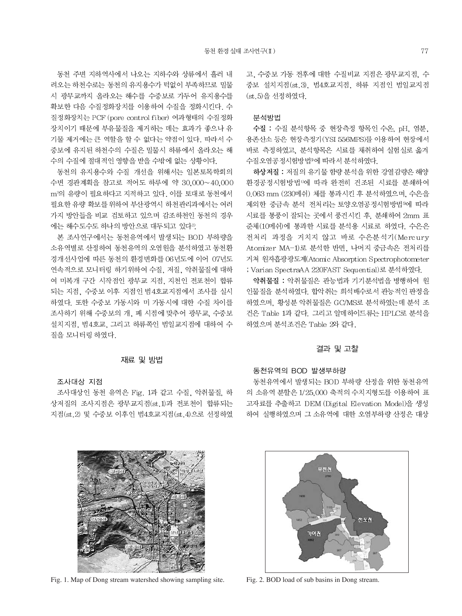동천 주변 지하역사에서 나오는 지하수와 상류에서 흘러 내 려오는 하천수로는 동천의 유지용수가 턱없이 부족하므로 밀물 시 광무교까지 올라오는 해수를 수중보로 가두어 유지용수를 확보한 다음 수질정화장치를 이용하여 수질을 정화시킨다. 수 질정화장치는 PCF (pore control fiber) 여과형태의 수질정화 장치이기 때문에 부유물질을 제거하는 데는 효과가 좋으나 유 기물 제거에는 큰 역할을 할 수 없다는 약점이 있다. 따라서 수 중보에 유지된 하천수의 수질은 밀물시 하류에서 올라오는 해 수의 수질에 절대적인 영향을 받을 수밖에 없는 상황이다.

동천의 유지용수와 수질 개선을 위해서는 일본토목학회의 수변 경관계획을 참고로 적어도 하루에 약 30,000~40,000 m<sup>3</sup>의 유량이 필요하다고 지적하고 있다. 이를 토대로 동천에서 필요한 유량 확보를 위하여 부산광역시 하천관리과에서는 여러 가지 방안들을 비교 검토하고 있으며 감조하천인 동천의 경우 에는 해수도수도 하나의 방안으로 대두되고 있다<sup>2)</sup>.

본 조사연구에서는 동천유역에서 발생되는 BOD 부하량을 소유역별로 산정하여 동천유역의 오염원을 분석하였고 동천환 경개선사업에 따른 동천의 환경변화를 06년도에 이어 07년도 연속적으로 모니터링 하기위하여 수질, 저질, 악취물질에 대하 여 미복개 구간 시작점인 광무교 지점, 지천인 전포천이 합류 되는 지점, 수중보 이후 지점인 범4호교지점에서 조사를 실시 하였다. 또한 수중보 가동시와 미 가동시에 대한 수질 차이를 조사하기 위해 수중보의 개, 폐 시점에 맞추어 광무교, 수중보 설치지점. 범4호교. 그리고 하류쪽인 범일교지점에 대하여 수 질을 모니터링 하였다.

#### 재료 및 방법

### 조사대상 지점

조사대상인 동천 유역은 Fig. 1과 같고 수질, 악취물질, 하 상저질의 조사지점은 광무교지점(st.1)과 전포천이 합류되는 지점(st.2) 및 수중보 이후인 범4호교지점(st.4)으로 선정하였 고, 수중보 가동 전후에 대한 수질비교 지점은 광무교지점, 수 중보 설치지점(st.3), 범4호교지점, 하류 지점인 범일교지점 (st.5)을 선정하였다.

#### 분석방법

수질 : 수질 분석항목 중 현장측정 항목인 수온, pH, 염분, 용존산소 등은 현장측정기(YSI 556MPS)를 이용하여 현장에서 바로 측정하였고, 분석항목은 시료를 채취하여 실험실로 옮겨 수질오염공정시험방법<sup>3</sup>에 따라서 분석하였다.

하상저질 : 저질의 유기물 함량 분석을 위한 강열감량은 해양 환경공정시험방법4에 따라 완전히 건조된 시료를 분쇄하여 0.063 mm (230메쉬) 체를 통과시킨 후 분석하였으며, 수은을 제외한 중금속 분석 전처리는 토양오염공정시험방법3에 따라 시료를 통풍이 잘되는 곳에서 풍건시킨 후, 분쇄하여 2mm 표 준체(10메쉬)에 통과한 시료를 분석용 시료로 하였다. 수은은 전처리 과정을 거치지 않고 바로 수은분석기(Mercury Atomizer MA-1)로 분석한 반면, 나머지 중금속은 전처리를 거쳐 원자흡광광도계(Atomic Absorption Spectrophotometer ; Varian SpectraAA 220FAST Sequential)로 분석하였다.

악취물질 : 악취물질은 관능법과 기기분석법을 병행하여 원 인물질을 분석하였다. 합악취는 희석배수로서 관능적인 판정을 하였으며, 황성분 악취물질은 GC/MS로 분석하였는데 분석 조 건은 Table 1과 같다. 그리고 알데하이드류는 HPLC로 분석을 하였으며 분석조건은 Table 2와 같다.

#### 결과 및 고찰

### 동천유역의 BOD 발생부하량

동천유역에서 발생되는 BOD 부하량 산정을 위한 동천유역 의 소유역 분할은 1/25,000 축적의 수치지형도를 이용하여 표 고자료를 추출하고 DEM (Digital Elevation Model)을 생성 하여 실행하였으며 그 소유역에 대한 오염부하량 산정은 대상



Fig. 1. Map of Dong stream watershed showing sampling site.



Fig. 2. BOD load of sub basins in Dong stream.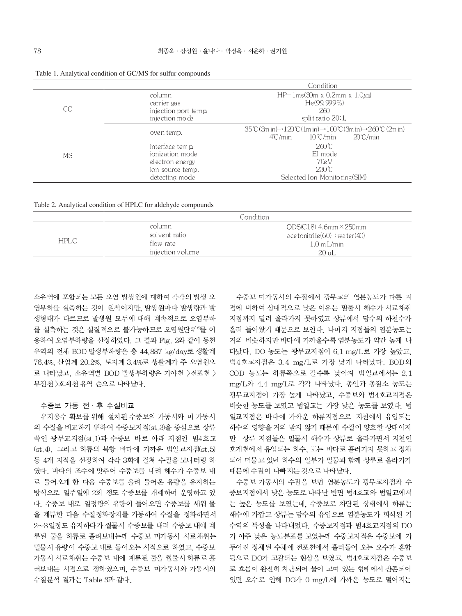|    |                                                                                                | Condition                                                                                                                                                                                                    |  |  |  |  |  |  |
|----|------------------------------------------------------------------------------------------------|--------------------------------------------------------------------------------------------------------------------------------------------------------------------------------------------------------------|--|--|--|--|--|--|
| GC | column<br>carrier gas<br>injection port temp.<br>injection mode                                | HP-1ms(30m x 0.2mm x 1.0 $\mu$ m)<br>He(99.999%)<br>260<br>split ratio $20:1$ ,                                                                                                                              |  |  |  |  |  |  |
|    | oven temp.                                                                                     | $35^{\circ}$ C (3m in) $\rightarrow$ 120 $^{\circ}$ C (1m in) $\rightarrow$ 100 $^{\circ}$ C (3m in) $\rightarrow$ 260 $^{\circ}$ C (2m in)<br>$20^{\circ}$ C/min<br>$10 \degree$ C/min<br>$4^{\circ}$ C/min |  |  |  |  |  |  |
| MS | interface temp.<br>ionization mode<br>el ectron e ne rgy<br>ion source temp.<br>detecting mode | $260^{\circ}$ C<br>EI mode<br>70e V<br>$230^\circ$ C<br>Selected Ion Monitoring (SIM)                                                                                                                        |  |  |  |  |  |  |

Table 1. Analytical condition of GC/MS for sulfur compounds

Table 2. Analytical condition of HPLC for aldehyde compounds

|     |                         | Condition                                                     |
|-----|-------------------------|---------------------------------------------------------------|
| HPL | column<br>solvent ratio | $ODS(C18)$ 4.6mm $\times$ 250mm                               |
|     | flow rate               | $\alpha$ ace tonitrile $(60)$ : water $(40)$<br>$1.0$ m L/min |
|     | injection volume        | 20 uL                                                         |

소유역에 포함되는 모든 오염 발생원에 대하여 각각의 발생 오 염부하를 실측하는 것이 원칙이지만, 발생원마다 발생량과 발 생형태가 다르므로 발생원 모두에 대해 계속적으로 오염부하 를 실측하는 것은 실질적으로 불가능하므로 오염원단위 '를 이 용하여 오염부하량을 산정하였다. 그 결과 Fig. 2와 같이 동천 유역의 전체 BOD 발생부하량은 총 44,887 kg/day로 생활계 76.4%, 산업계 20.2%, 토지계 3.4%로 생활계가 주 오염원으 로 나타났고, 소유역별 BOD 발생부하량은 가야천 >전포천 > 부전천 > 호계천 유역 순으로 나타났다.

#### 수중보 가동 전 · 후 수질비교

유지용수 확보를 위해 설치된 수중보의 가동시와 미 가동시 의 수질을 비교하기 위하여 수중보지점(st.3)을 중심으로 상류 쪽인 광무교지점(st.1)과 수중보 바로 아래 지점인 범4호교 (st.4), 그리고 하류의 북항 바다에 가까운 범일교지점(st.5) 등 4개 지점을 선정하여 각각 3회에 걸쳐 수질을 모니터링 하 였다. 바다의 조수에 맞추어 수중보를 내려 해수가 수중보 내 로 들어오게 한 다음 수중보를 올려 들어온 유량을 유지하는 방식으로 일주일에 2회 정도 수중보를 개폐하며 운영하고 있 다. 수중보 내로 일정량의 유량이 들어오면 수중보를 세워 물 을 계류한 다음 수질정화장치를 가동하여 수질을 정화하면서 2~3일정도 유지하다가 썰물시 수중보를 내려 수중보 내에 계 류된 물을 하류로 흘려보내는데 수중보 미가동시 시료채취는 밀물시 유량이 수중보 내로 들어오는 시점으로 하였고, 수중보 가동시 시료채취는 수중보 내에 계류된 물을 썰물시 하류로 흘 러보내는 시점으로 정하였으며, 수중보 미가동시와 가동시의 수질분석 결과는 Table 3과 같다.

수중보 미가동시의 수질에서 광무교의 염분농도가 다른 지 점에 비하여 상대적으로 낮은 이유는 밀물시 해수가 시료채취 지점까지 밀려 올라가지 못하였고 상류에서 담수의 하천수가 흘러 들어왔기 때문으로 보인다. 나머지 지점들의 염분농도는 거의 비슷하지만 바다에 가까울수록 염분농도가 약간 높게 나 타났다. DO 농도는 광무교지점이 6.1 mg/L로 가장 높았고, 범4호교지점은 3.4 mg/L로 가장 낮게 나타났다. BOD와 COD 농도는 하류쪽으로 갈수록 낮아져 범일교에서는 2.1 mg/L와 4.4 mg/L로 각각 나타났다. 총인과 총질소 농도는 광무교지점이 가장 높게 나타났고, 수중보와 범4호교지점은 비슷한 농도를 보였고 범일교는 가장 낮은 농도를 보였다. 범 일교지점은 바다에 가까운 하류지점으로 지천에서 유입되는 하수의 영향을 거의 받지 않기 때문에 수질이 양호한 상태이지 만 상류 지점들은 밀물시 해수가 상류로 올라가면서 지천인 호계천에서 유입되는 하수, 또는 바다로 흘러가지 못하고 정체 되어 머물고 있던 하수의 일부가 밀물과 함께 상류로 올라가기 때문에 수질이 나빠지는 것으로 나타났다.

수중보 가동시의 수질을 보면 염분농도가 광무교지점과 수 중보지점에서 낮은 농도로 나타난 반면 범4호교와 범일교에서 는 높은 농도를 보였는데, 수중보로 차단된 상태에서 하류는 해수에 가깝고 상류는 담수의 유입으로 염분농도가 희석된 기 수역의 특성을 나타내었다. 수중보지점과 범4호교지점의 DO 가 아주 낮은 농도분포를 보였는데 수중보지점은 수중보에 가 두어진 정체된 수체에 전포천에서 흘러들어 오는 오수가 혼합 됨으로 DO가 고갈되는 현상을 보였고, 범4호교지점은 수중보 로 흐름이 완전히 차단되어 물이 고여 있는 형태에서 잔존되어 있던 오수로 인해 DO가 0 mg/L에 가까운 농도로 떨어지는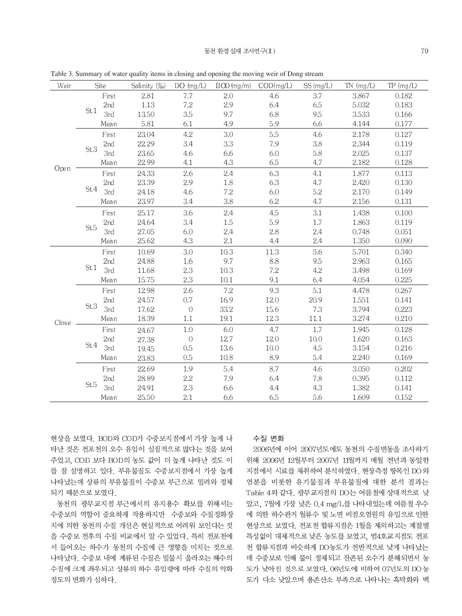| Weir  | Site            | Salinity (%) | DO $(mg/L)$      | $BOD$ (mg/m) $COD$ (mg/L) |         | SS (mg/L) | $TN$ (mg/L) | TP (mg/L) |
|-------|-----------------|--------------|------------------|---------------------------|---------|-----------|-------------|-----------|
|       | First           | 2.81         | 7.7              | 2.0                       | 4.6     | 3.7       | 3.867       | 0.182     |
|       | 2nd             | 1.13         | 7.2              | 2.9                       | 6.4     | 6.5       | 5.032       | 0.183     |
|       | St.1<br>3rd     | 13.50        | 3.5              | 9.7                       | 6.8     | 9.5       | 3.533       | 0.166     |
|       | Mean            | 5.81         | 6.1              | 4.9                       | 5.9     | 6.6       | 4.144       | 0.177     |
|       | First           | 23.04        | 4.2              | 3.0                       | 5.5     | 4.6       | 2.178       | 0.127     |
|       | 2nd             | 22.29        | 3.4              | 3.3                       | 7.9     | 3.8       | 2.344       | 0.119     |
|       | St.3<br>3rd     | 23.65        | 4.6              | 6.6                       | 6.0     | 5.8       | 2.025       | 0.137     |
| Open  | Mean            | 22.99        | 4.1              | 4.3                       | 6.5     | 4.7       | 2.182       | 0.128     |
|       | First           | 24.33        | 2.6              | 2.4                       | 6.3     | 4.1       | 1.877       | 0.113     |
|       | 2nd             | 23.39        | 2.9              | 1.8                       | 6.3     | 4.7       | 2.420       | 0.130     |
|       | St.4<br>3rd     | 24.18        | 4.6              | $7.2\,$                   | 6.0     | 5.2       | 2.170       | 0.149     |
|       | Mean            | 23.97        | 3.4              | 3.8                       | 6.2     | 4.7       | 2.156       | 0.131     |
|       | First           | 25.17        | 3.6              | 2.4                       | 4.5     | 3.1       | 1.438       | 0.100     |
|       | 2 <sub>nd</sub> | 24.64        | 3.4              | 1.5                       | 5.9     | $1.7\,$   | 1.863       | 0.119     |
|       | St.5<br>3rd     | 27.05        | 6.0              | 2.4                       | $2.8\,$ | 2.4       | 0.748       | 0.051     |
|       | Mean            | 25.62        | 4.3              | 2.1                       | 4.4     | 2.4       | 1.350       | 0.090     |
|       | First           | 10.69        | 3.0              | 10.3                      | 11.3    | 5.6       | 5.701       | 0.340     |
|       | 2nd             | 24.88        | 1.6              | 9.7                       | 8.8     | 9.5       | 2.963       | 0.165     |
|       | St.1<br>3rd     | 11.68        | 2.3              | 10.3                      | 7.2     | 4.2       | 3.498       | 0.169     |
|       | Mean            | 15.75        | 2.3              | 10.1                      | 9.1     | 6.4       | 4.054       | 0.225     |
|       | First           | 12.98        | 2.6              | 7.2                       | 9.3     | 5.1       | 4.478       | 0.267     |
|       | 2nd             | 24.57        | 0.7              | 16.9                      | 12.0    | 20.9      | 1.551       | 0.141     |
|       | St.3<br>3rd     | 17.62        | $\sqrt{a}$       | 33.2                      | 15.6    | 7.3       | 3.794       | 0.223     |
| Close | Mean            | 18.39        | 1.1              | 19.1                      | 12.3    | 11.1      | 3.274       | 0.210     |
|       | First           | 24.67        | 1.0              | 6.0                       | 4.7     | 1.7       | 1.945       | 0.128     |
|       | 2nd             | 27.38        | $\boldsymbol{0}$ | 127                       | 12.0    | $10.0$    | 1.620       | 0.163     |
|       | St.4<br>3rd     | 19.45        | 0.5              | 13.6                      | 10.0    | 4.5       | 3.154       | 0.216     |
|       | Mean            | 23.83        | 0.5              | 10.8                      | 8.9     | 5.4       | 2.240       | 0.169     |
|       | First           | 22.69        | 1.9              | 5.4                       | 8.7     | 4.6       | 3.050       | 0.202     |
|       | 2nd             | 28.89        | $2.2\,$          | 7.9                       | 6.4     | 7.8       | 0.395       | 0.112     |
|       | St.5<br>3rd     | 24.91        | 2.3              | 6.6                       | 4.4     | 4.3       | 1.382       | 0.141     |
|       | Mean            | 25.50        | 2.1              | 6.6                       | 6.5     | 5.6       | 1.609       | 0.152     |

Table 3. Summary of water quality items in closing and opening the moving weir of Dong stream

현상을 보였다. BOD와 COD가 수중보지점에서 가장 높게 나 타난 것은 전포천의 오수 유입이 실질적으로 많다는 것을 보여 주었고, COD 보다 BOD의 농도 값이 더 높게 나타난 것도 이 를 잘 설명하고 있다. 부유물질도 수중보지점에서 가장 높게 나타났는데 상류의 부유물질이 수중보 부근으로 밀려와 정체 되기 때문으로 보였다.

동천의 광무교지점 부근에서의 유지용수 확보를 위해서는 수중보의 역할이 중요하게 작용하지만 수중보와 수질정화장 치에 의한 동천의 수질 개선은 현실적으로 어려워 보인다는 것 을 수중보 전후의 수질 비교에서 알 수 있었다. 특히 전포천에 서 들어오는 하수가 동천의 수질에 큰 영향을 미치는 것으로 나타났다. 수중보 내에 계류된 수질은 밀물시 올라오는 해수의 수질에 크게 좌우되고 상류의 하수 유입량에 따라 수질의 악화 정도의 변화가 심하다.

#### 수질 변화

2006년에 이어 2007년도에도 동천의 수질변동을 조사하기 위해 2006년 12월부터 2007년 11월까지 매월 전년과 동일한 지점에서 시료를 채취하여 분석하였다. 현장측정 항목인 DO 와 염분을 비롯한 유기물질과 부유물질에 대한 분석 결과는 Table 4와 같다. 광무교지점의 DO는 여름철에 상대적으로 낮 았고, 7월에 가장 낮은 0.4 mg/L를 나타내었는데 여름철 우수 에 의한 하수관거 월류수 및 노면 비점오염원의 유입으로 인한 현상으로 보였다. 전포천 합류지점은 1월을 제외하고는 계절별 특성없이 대체적으로 낮은 농도를 보였고. 범4호교지점도 전포 천 합류지점과 비슷하게 DO농도가 전반적으로 낮게 나타났는 데 수중보로 인해 물이 정체되고 잔존된 오수가 분해되면서 농 도가 낮아진 것으로 보였다. 06년도에 비하여 07년도의 DO 농 도가 다소 낮았으며 용존산소 부족으로 나타나는 흑탁화와 백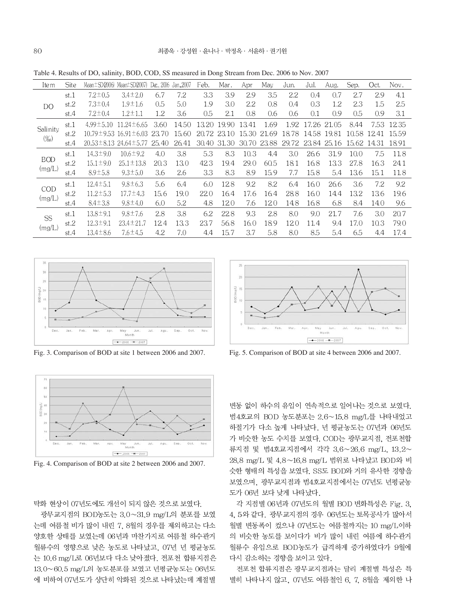Table 4. Results of DO, salinity, BOD, COD, SS measured in Dong Stream from Dec. 2006 to Nov. 2007

| Item         | <b>Site</b> |                                   | Mean $\pm$ SD (2006) Mean $\pm$ SD (2007) | Dec., 2006 | Jan.,2007 | Feb.  | Mar.        | Apr   | May         | Jun.              | Jul.        | Aug. | Sep.        | Oct.  | Nov.  |
|--------------|-------------|-----------------------------------|-------------------------------------------|------------|-----------|-------|-------------|-------|-------------|-------------------|-------------|------|-------------|-------|-------|
|              | st.1        | $7.2 \pm 0.5$                     | $3.4 \pm 2.0$                             | 6.7        | 7.2       | 3.3   | 3.9         | 2.9   | 3.5         | 2.2               | 0.4         | 0.7  | 2.7         | 2.9   | 4.1   |
| <b>DO</b>    | st.2        | $7.3 \pm 0.4$                     | $1.9 \pm 1.6$                             | 0.5        | 5.0       | 1.9   | 3.0         | 2.2   | 0.8         | 0.4               | 0.3         | 1.2  | 2.3         | 1.5   | 2.5   |
|              | st.4        | $7.2 \pm 0.4$                     | $1.2 \pm 1.1$                             | 1.2        | 3.6       | 0.5   | 2.1         | 0.8   | 0.6         | 0.6               | 0.1         | 0.9  | 0.5         | 0.9   | 3.1   |
|              | st.1        | $4.99 \pm 5.10$                   | $11.24 \pm 6.65$                          | 3.60       | 14.50     | 13.20 | 19.90       | 13.41 | 1.69        | 1.92              | 17.26 21.05 |      | 8.44        | 7.53  | 12.35 |
| Salinity     | st.2        | $10.79 \pm 9.53$                  | $16.91 \pm 6.03$                          | 23.70      | 15.60     |       | 20.72 23.10 | 15.30 | 21.69       | 18.78             | 14.58 19.81 |      | 10.58       | -1241 | 15.59 |
| $(\%_0)$     | st.4        | $20.53 \pm 8.13$ 24.64 $\pm$ 5.77 |                                           | 25.40      | 26.41     | 30.40 | 31.30       |       | 30.70 23.88 | 29.72 23.84 25.16 |             |      | 15.62 14.31 |       | 18.91 |
|              | st.1        | $14.3 \pm 9.0$                    | $10.6 \pm 9.2$                            | 4.0        | 3.8       | 5.3   | 8.3         | 10.3  | 4.4         | 3.0               | 26.6        | 31.9 | 10.0        | 7.5   | 11.8  |
| <b>BOD</b>   | st.2        | $15.1 \pm 9.0$                    | $25.1 \pm 13.8$                           | 20.3       | 13.0      | 423   | 19.4        | 29.0  | 60.5        | 18.1              | 16.8        | 13.3 | 27.8        | 16.3  | 24.1  |
| (mg/L)       | st.4        | $8.9 \pm 5.8$                     | $9.3 \pm 5.0$                             | 3.6        | 2.6       | 3.3   | 8.3         | 8.9   | 15.9        | 7.7               | 15.8        | 5.4  | 13.6        | 15.1  | 11.8  |
|              | st.1        | $12.4 \pm 5.1$                    | $9.8 \pm 6.3$                             | 5.6        | 6.4       | 6.0   | 12.8        | 9.2   | 8.2         | 6.4               | 16.0        | 26.6 | 3.6         | 7.2   | 9.2   |
| COD          | st.2        | $11.2 \pm 5.3$                    | $17.7 \pm 4.3$                            | 15.6       | 19.0      | 220   | 16.4        | 17.6  | 16.4        | 28.8              | 16.0        | 14.4 | 13.2        | 13.6  | 19.6  |
| (mg/L)       | st.4        | $8.4 \pm 3.8$                     | $9.8 \pm 4.0$                             | 6.0        | 5.2       | 4.8   | 12.0        | 7.6   | 12.0        | 14.8              | 16.8        | 6.8  | 8.4         | 14.0  | 9.6   |
| SS<br>(mg/L) | st.1        | $13.8 \pm 9.1$                    | $9.8 \pm 7.6$                             | 2.8        | 3.8       | 6.2   | 22.8        | 9.3   | 2.8         | 8.0               | 9.0         | 21.7 | 7.6         | 3.0   | 20.7  |
|              | st.2        | $12.3 \pm 9.1$                    | $23.4 \pm 21.7$                           | 12.4       | 13.3      | 23.7  | 56.8        | 16.0  | 18.9        | 12.0              | 11.4        | 9.4  | 17.0        | 10.3  | 79.0  |
|              | st.4        | $13.4 \pm 8.6$                    | $7.6 \pm 4.5$                             | 4.2        | 7.0       | 4.4   | 15.7        | 3.7   | 5.8         | 8.0               | 8.5         | 5.4  | 6.5         | 4.4   | 17.4  |





Fig. 4. Comparison of BOD at site 2 between 2006 and 2007.

탁화 현상이 07년도에도 개선이 되지 않은 것으로 보였다.

광무교지점의 BOD농도는 3.0~31.9 mg/L의 분포를 보였 는데 여름철 비가 많이 내린 7, 8월의 경우를 제외하고는 다소 양호한 상태를 보였는데 06년과 마찬가지로 여름철 하수관거 월류수의 영향으로 낮은 농도로 나타났고, 07년 년 평균농도 는 10.6 mg/L로 06년보다 다소 낮아졌다. 전포천 합류지점은 13.0~60.5 mg/L의 농도분포를 보였고 년평균농도는 06년도 에 비하여 07년도가 상단히 악화된 것으로 나타났는데 계절별



Fig. 3. Comparison of BOD at site 1 between 2006 and 2007. Fig. 5. Comparison of BOD at site 4 between 2006 and 2007.

변동 없이 하수의 유입이 연속적으로 일어나는 것으로 보였다. 범4호교의 BOD 농도분포는 2.6~15.8 mg/L를 나타내었고 하절기가 다소 높게 나타났다. 년 평균농도는 07년과 06년도 가 비슷한 농도 수치를 보였다. COD는 광무교지점, 전포천합 류지점 및 범4호교지점에서 각각 3.6~26.6 mg/L, 13.2~ 28.8 mg/L 및 4.8~16.8 mg/L 범위로 나타났고 BOD와 비 슷한 형태의 특성을 보였다. SS도 BOD와 거의 유사한 경향을 보였으며, 광무교지점과 범4호교지점에서는 07년도 년평균농 도가 06년 보다 낮게 나타났다.

각 지점별 06년과 07년도의 월별 BOD 변화특성은 Fig. 3, 4, 5와 같다. 광무교지점의 경우 06년도는 토목공사가 많아서 월별 변동폭이 컸으나 07년도는 여름철까지는 10 mg/L이하 의 비슷한 농도를 보이다가 비가 많이 내린 여름에 하수관거 월류수 유입으로 BOD농도가 급격하게 증가하였다가 9월에 다시 감소하는 경향을 보이고 있다.

전포천 합류지점은 광무교지점과는 달리 계절별 특성은 특 별히 나타나지 않고, 07년도 여름철인 6, 7, 8월을 제외한 나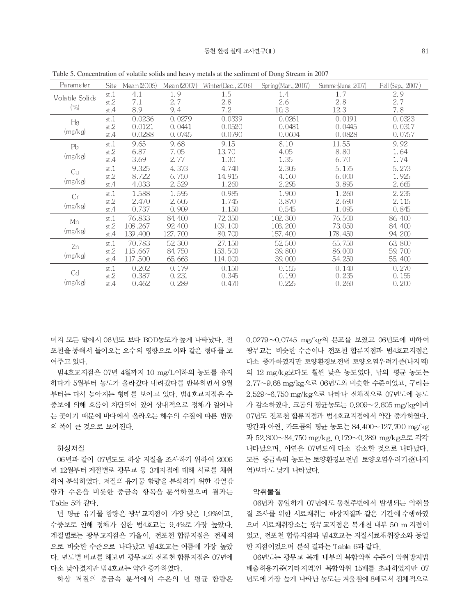| Parameter       | <b>Site</b> | Mean (2006) | Mean (2007) | Winter(Dec., $2006$ ) | Spring (Mar., 2007) | Summer(June, 2007) | Fall (Sep., 2007) |
|-----------------|-------------|-------------|-------------|-----------------------|---------------------|--------------------|-------------------|
|                 | st.1        | 4.1         | 1.9         | 1.5                   | 1.4                 | 1.7                | 2.9               |
| Volatile Solids | st.2        | 7.1         | 2.7         | 2.8                   | 2.6                 | 2.8                | 2.7               |
| $(\% )$         | st.4        | 8.9         | 9.4         | 7.2                   | 10.3                | 123                | 7.8               |
| Hg              | st.1        | 0.0236      | 0.0279      | 0.0339                | 0.0261              | 0.0191             | 0.0323            |
|                 | st.2        | 0.0121      | 0.0441      | 0.0520                | 0.0481              | 0.0445             | 0.0317            |
| (mg/kg)         | st.4        | 0.0288      | 0.0745      | 0.0790                | 0.0604              | 0.0828             | 0.0757            |
| Pb              | st.1        | 9.65        | 9.68        | 9.15                  | 8.10                | 11.55              | 9.92              |
|                 | st.2        | 6.87        | 7.05        | 13.70                 | 4.05                | 8.80               | 1.64              |
| (mg/kg)         | st.4        | 3.69        | 2.77        | 1.30                  | 1.35                | 6.70               | 1.74              |
| Cu              | st.1        | 9.325       | 4.373       | 4.740                 | 2.305               | 5.175              | 5.273             |
|                 | st.2        | 8.722       | 6.750       | 14.915                | 4.160               | 6.000              | 1.925             |
| (mg/kg)         | st.4        | 4.033       | 2.529       | 1.260                 | 2.295               | 3.895              | 2.665             |
| Cr              | st.1        | 1.588       | 1.595       | 0.985                 | 1.900               | 1.260              | 2.235             |
|                 | st.2        | 2.470       | 2.605       | 1.745                 | 3.870               | 2.690              | 2.115             |
| (mg/kg)         | st.4        | 0.737       | 0.909       | 1.150                 | 0.545               | 1.095              | 0.845             |
| Mn              | st.1        | 76.833      | 84,400      | 72.350                | 102.300             | 76.500             | 86, 400           |
|                 | st.2        | 108.267     | 92, 400     | 109.100               | 103.200             | 73,050             | 84.400            |
| (mg/kg)         | st.4        | 139.400     | 127.700     | 80.700                | 157.400             | 178.450            | 94.200            |
| Zn              | st.1        | 70.783      | 52,300      | 27.150                | 52.500              | 65.750             | 63.800            |
|                 | st.2        | 115.667     | 84.750      | 153.500               | 39.800              | 86,000             | 59.700            |
| (mg/kg)         | st.4        | 117.500     | 65.663      | 114.000               | 39.000              | 54, 250            | 55.400            |
|                 | st.1        | 0.202       | 0.179       | 0.150                 | 0.155               | 0.140              | 0.270             |
| Cd              | st.2        | 0.387       | 0.231       | 0.345                 | 0.190               | 0.235              | 0.155             |
| (mg/kg)         | st.4        | 0.462       | 0.289       | 0.470                 | 0.225               | 0.260              | 0.200             |

Table 5. Concentration of volatile solids and heavy metals at the sediment of Dong Stream in 2007

머지 모든 달에서 06년도 보다 BOD농도가 높게 나타났다. 전 포천을 통해서 들어오는 오수의 영향으로 이와 같은 형태를 보 여주고 있다.

범4호교지점은 07년 4월까지 10 mg/L이하의 농도를 유지 하다가 5월부터 농도가 올라갔다 내려갔다를 반복하면서 9월 부터는 다시 높아지는 형태를 보이고 있다. 범4호교지점은 수 중보에 의해 흐름이 차단되어 있어 상대적으로 정체가 일어나 는 곳이기 때문에 바다에서 올라오는 해수의 수질에 따른 변동 의 폭이 큰 것으로 보여진다.

#### 하상저질

06년과 같이 07년도도 하상 저질을 조사하기 위하여 2006 년 12월부터 계절별로 광무교 등 3개지점에 대해 시료를 채취 하여 분석하였다. 저질의 유기물 함량을 분석하기 위한 감열감 량과 수은을 비롯한 중금속 항목을 분석하였으며 결과는 Table 5와 같다.

년 평균 유기물 함량은 광무교지점이 가장 낮은 1.9%이고. 수중보로 인해 정체가 심한 범4호교는 9.4%로 가장 높았다. 계절별로는 광무교지점은 가을이, 전포천 합류지점은 전체적 으로 비슷한 수준으로 나타났고 범4호교는 여름에 가장 높았 다. 년도별 비교를 해보면 광무교와 전포천 합류지점은 07년에 다소 낮아졌지만 범4호교는 약간 증가하였다.

하상 저질의 중금속 분석에서 수은의 년 평균 함량은

0.0279~0.0745 mg/kg의 분포를 보였고 06년도에 비하여 광무교는 비슷한 수준이나 전포천 합류지점과 범4호교지점은 다소 증가하였지만 토양환경보전법 토양오염우려기준(나지역) 의 12 mg/kg보다도 훨씬 낮은 농도였다. 납의 평균 농도는 2.77~9.68 mg/kg으로 06년도와 비슷한 수준이었고, 구리는 2.529~6.750 mg/kg으로 나타나 전체적으로 07년도에 농도 가 감소하였다. 크롬의 평균농도는 0.909~2.605 mg/kg이며 07년도 전포천 합류지점과 범4호교지점에서 약간 증가하였다. 망간과 아연, 카드뮴의 평균 농도는 84.400~127.700 mg/kg 과 52.300~84.750 mg/kg, 0.179~0.289 mg/kg으로 각각 나타났으며, 아연은 07년도에 다소 감소한 것으로 나타났다. 모든 중금속의 농도는 토양환경보전법 토양오염우려기준나지 역)보다도 낮게 나타났다.

#### 악취물질

06년과 동일하게 07년에도 동천주변에서 발생되는 악취물 질 조사를 위한 시료채취는 하상저질과 같은 기간에 수행하였 으며 시료채취장소는 광무교지점은 복개천 내부 50 m 지점이 었고, 전포천 합류지점과 범4호교는 저질시료채취장소와 동일 한 지점이었으며 분석 결과는 Table 6과 같다.

06년도는 광무교 복개 내부의 복합악취 수준이 악취방지법 배출허용기준(기타지역)인 복합악취 15배를 초과하였지만 07 년도에 가장 높게 나타난 농도는 겨울철에 8배로서 전체적으로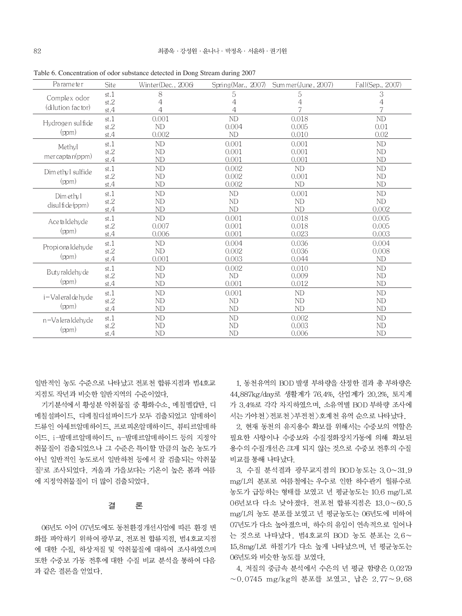| Parameter         | Site                       | Winter(Dec., 2006) | Spring (Mar., 2007) | Sum mer (June, 2007) | Fall(Sep., 2007) |
|-------------------|----------------------------|--------------------|---------------------|----------------------|------------------|
| Complex odor      | st.1                       | 8                  | 5                   | 5                    | 3                |
| (dilution factor) | st.2                       | 4                  | $\overline{4}$      | 4                    | 4                |
|                   | st.4                       | 4                  | 4                   |                      | 7                |
| Hydrogen sulfide  | st.1                       | 0.001              | N <sub>D</sub>      | 0.018                | ND               |
|                   | st.2                       | ND.                | 0.004               | 0.005                | 0.01             |
| (ppm)             | st.4                       | 0.002              | ND                  | 0.010                | 0.02             |
| Methyl            | st.1                       | ND                 | 0.001               | 0.001                | <b>ND</b>        |
|                   | st.2                       | ND                 | 0.001               | 0.001                | ND               |
| mer capta n(ppm)  | st.4                       | <b>ND</b>          | 0.001               | 0.001                | ND               |
| Dimethyl sulfide  | st.1                       | ND                 | 0.002               | ND                   | ND               |
|                   | st.2                       | ND                 | 0.002               | 0.001                | <b>ND</b>        |
| (ppm)             | st.4                       | ND                 | 0.002               | N <sub>D</sub>       | N <sub>D</sub>   |
| Dim ethyl         | st.1                       | ND                 | N <sub>D</sub>      | 0.001                | ND               |
|                   | st.2                       | <b>ND</b>          | ND                  | N <sub>D</sub>       | N <sub>D</sub>   |
| disulfide (ppm)   | st.4                       | <b>ND</b>          | <b>ND</b>           | ND                   | 0.002            |
|                   | st.1                       | <b>ND</b>          | 0.001               | 0.018                | 0.005            |
| Ace taldehyde     | $\ensuremath{\text{st}}.2$ | 0.007              | 0.001               | 0.018                | 0.005            |
| (ppm)             | st.4                       | 0.006              | 0.001               | 0.023                | 0.003            |
|                   | st.1                       | <b>ND</b>          | 0.004               | 0.036                | 0.004            |
| Propionaldehyde   | $\ensuremath{\text{st}}.2$ | ND                 | 0.002               | 0.036                | 0.008            |
| (ppm)             | st.4                       | 0.001              | 0.003               | 0.044                | <b>ND</b>        |
|                   | st.1                       | ND                 | 0.002               | 0.010                | <b>ND</b>        |
| Buty raldehy de   | st.2                       | ND                 | <b>ND</b>           | 0.009                | <b>ND</b>        |
| (ppm)             | st.4                       | ND                 | 0.001               | 0.012                | <b>ND</b>        |
|                   | st.1                       | ND                 | 0.001               | ND                   | <b>ND</b>        |
| i-Valeral de hyde | st.2                       | <b>ND</b>          | <b>ND</b>           | <b>ND</b>            | <b>ND</b>        |
| (ppm)             | st.4                       | <b>ND</b>          | <b>ND</b>           | <b>ND</b>            | ND               |
| n-Valeraldehyde   | st.1                       | ND                 | <b>ND</b>           | 0.002                | ND               |
|                   | $\ensuremath{\text{st}}.2$ | ND                 | <b>ND</b>           | 0.003                | N <sub>D</sub>   |
| (ppm)             | st.4                       | <b>ND</b>          | <b>ND</b>           | 0.006                | <b>ND</b>        |

Table 6. Concentration of odor substance detected in Dong Stream during 2007

일반적인 농도 수준으로 나타났고 전포천 합류지점과 범4호교 지점도 작년과 비슷한 일반지역의 수준이었다.

기기분석에서 황성분 악취물질 중 황화수소, 메칠멜캅탄, 디 메칠설파이드, 디메칠디설파이드가 모두 검출되었고 알데하이 드류인 아세트알데하이드, 프로피온알데하이드, 뷰티르알데하 이드, i-발데르알데하이드, n-발데르알데하이드 등의 지정악 취물질이 검출되었으나 그 수준은 특이할 만큼의 높은 농도가 아닌 일반적인 농도로서 일반하천 등에서 잘 검출되는 악취물 질"로 조사되었다. 겨울과 가을보다는 기온이 높은 봄과 여름 에 지정악취물질이 더 많이 검출되었다.

#### 론 결

06년도 이어 07년도에도 동천환경개선사업에 따른 환경 변 화를 파악하기 위하여 광무교, 전포천 합류지점, 범4호교지점 에 대한 수질, 하상저질 및 악취물질에 대하여 조사하였으며 또한 수중보 가동 전후에 대한 수질 비교 분석을 통하여 다음 과 같은 결론을 얻었다.

1. 동천유역의 BOD 발생 부하량을 산정한 결과 총 부하량은 44.887kg/day로 생활계가 76.4%. 산업계가 20.2%. 토지계 가 3.4%로 각각 차지하였으며, 소유역별 BOD 부하량 조사에 서는 가야천 > 전포천 > 부전천 > 호계천 유역 순으로 나타났다.

2. 현재 동천의 유지용수 확보를 위해서는 수중보의 역할은 필요한 사항이나 수중보와 수질정화장치가동에 의해 확보된 용수의 수질개선은 크게 되지 않는 것으로 수중보 전후의 수질 비교를 통해 나타났다.

3. 수질 분석결과 광무교지점의 BOD농도는 3.0~31.9 mg/L의 분포로 여름철에는 우수로 인한 하수관거 월류수로 농도가 급등하는 형태를 보였고 년 평균농도는 10.6 mg/L로 06년보다 다소 낮아졌다. 전포천 합류지점은 13.0~60.5 mg/L의 농도 분포를 보였고 년 평균농도는 06년도에 비하여 07년도가 다소 높아졌으며, 하수의 유입이 연속적으로 일어나 는 것으로 나타났다. 범4호교의 BOD 농도 분포는 2.6~ 15.8mg/L로 하절기가 다소 높게 나타났으며, 년 평균농도는 06년도와 비슷한 농도를 보였다.

4. 저질의 중금속 분석에서 수은의 년 평균 함량은 0.0279  $\sim 0.0745$  mg/kg의 분포를 보였고, 납은 2.77 $\sim 9.68$